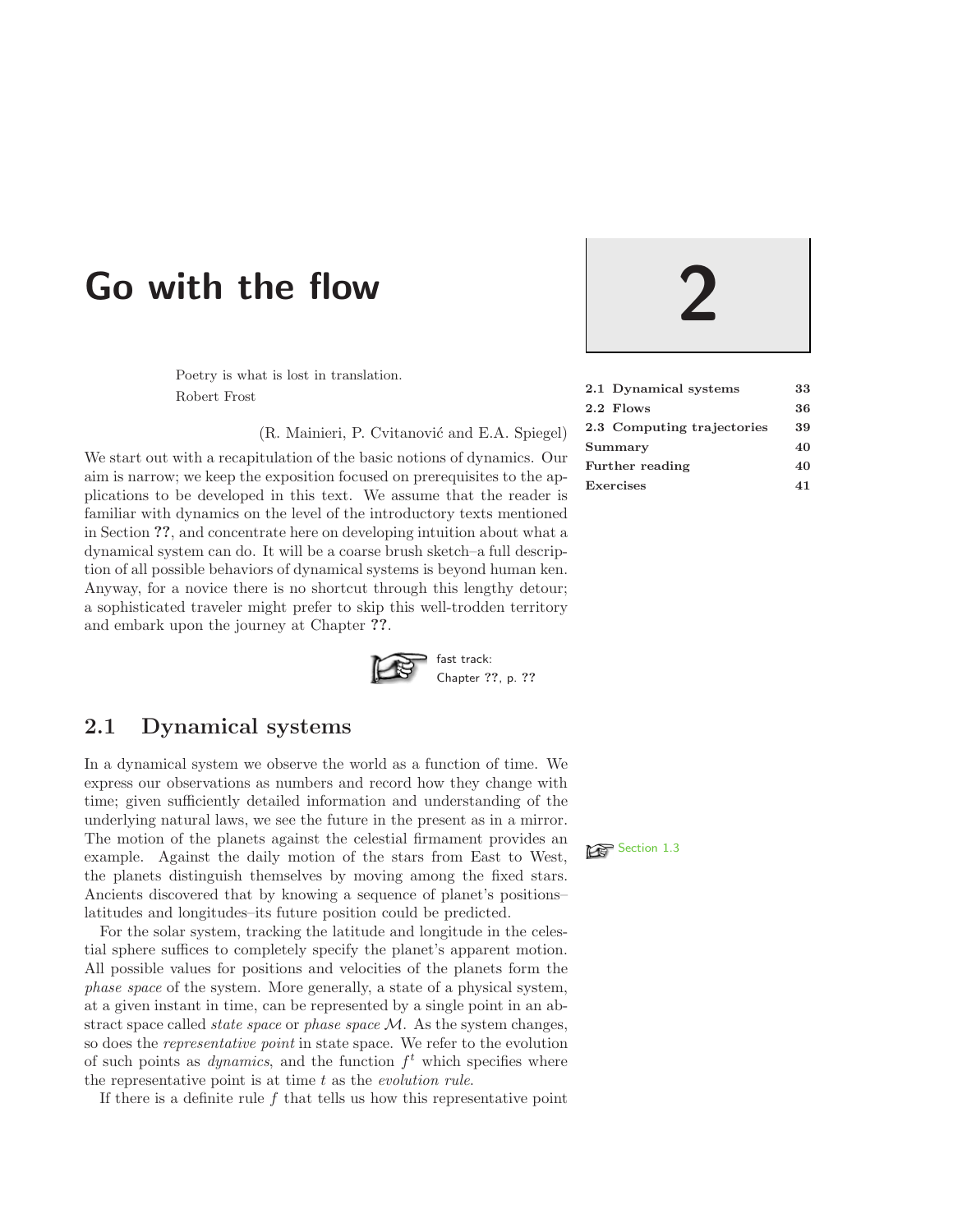# **Go with the flow 2**

Poetry is what is lost in translation. Robert Frost

(R. Mainieri, P. Cvitanović and E.A. Spiegel)

We start out with a recapitulation of the basic notions of dynamics. Our aim is narrow; we keep the exposition focused on prerequisites to the applications to be developed in this text. We assume that the reader is familiar with dynamics on the level of the introductory texts mentioned in Section **??**, and concentrate here on developing intuition about what a dynamical system can do. It will be a coarse brush sketch–a full description of all possible behaviors of dynamical systems is beyond human ken. Anyway, for a novice there is no shortcut through this lengthy detour; a sophisticated traveler might prefer to skip this well-trodden territory and embark upon the journey at Chapter **??**.

> fast track: Chapter **??**, p. **??**

# **2.1 Dynamical systems**

In a dynamical system we observe the world as a function of time. We express our observations as numbers and record how they change with time; given sufficiently detailed information and understanding of the underlying natural laws, we see the future in the present as in a mirror. The motion of the planets against the celestial firmament provides an example. Against the daily motion of the stars from East to West, the planets distinguish themselves by moving among the fixed stars. Ancients discovered that by knowing a sequence of planet's positions– latitudes and longitudes–its future position could be predicted.

For the solar system, tracking the latitude and longitude in the celestial sphere suffices to completely specify the planet's apparent motion. All possible values for positions and velocities of the planets form the *phase space* of the system. More generally, a state of a physical system, at a given instant in time, can be represented by a single point in an abstract space called *state space* or *phase space* M. As the system changes, so does the *representative point* in state space. We refer to the evolution of such points as *dynamics*, and the function  $f^t$  which specifies where the representative point is at time t as the *evolution rule*.

If there is a definite rule  $f$  that tells us how this representative point

| 2.1 Dynamical systems      | 33 |
|----------------------------|----|
| 2.2 Flows                  | 36 |
| 2.3 Computing trajectories | 39 |
| $\operatorname{Summary}$   | 40 |
| Further reading            | 40 |
| $\rm{Exercises}$           | 41 |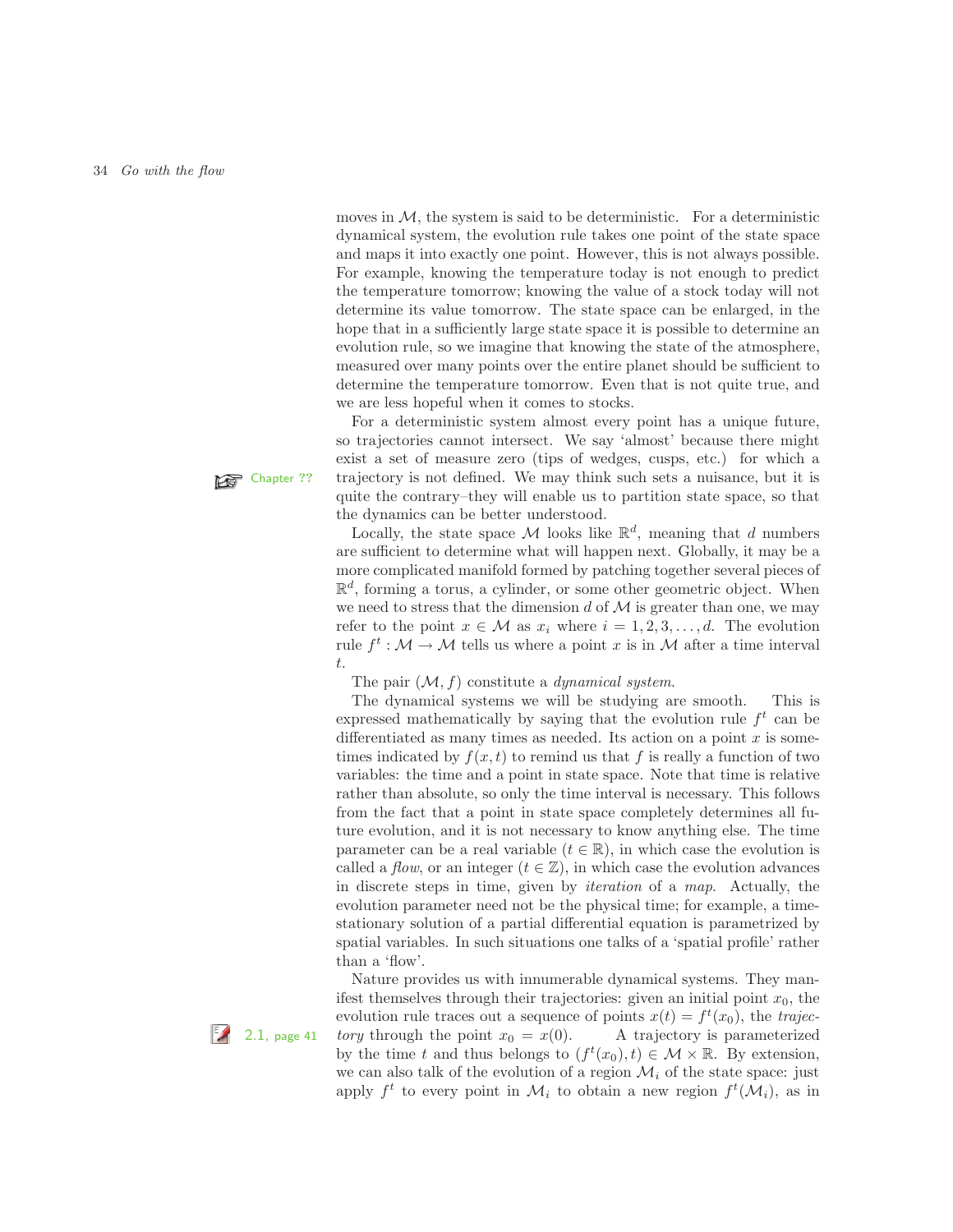moves in  $M$ , the system is said to be deterministic. For a deterministic dynamical system, the evolution rule takes one point of the state space and maps it into exactly one point. However, this is not always possible. For example, knowing the temperature today is not enough to predict the temperature tomorrow; knowing the value of a stock today will not determine its value tomorrow. The state space can be enlarged, in the hope that in a sufficiently large state space it is possible to determine an evolution rule, so we imagine that knowing the state of the atmosphere, measured over many points over the entire planet should be sufficient to determine the temperature tomorrow. Even that is not quite true, and we are less hopeful when it comes to stocks.

For a deterministic system almost every point has a unique future, so trajectories cannot intersect. We say 'almost' because there might exist a set of measure zero (tips of wedges, cusps, etc.) for which a Chapter **??** trajectory is not defined. We may think such sets a nuisance, but it is quite the contrary–they will enable us to partition state space, so that the dynamics can be better understood.

> Locally, the state space M looks like  $\mathbb{R}^d$ , meaning that d numbers are sufficient to determine what will happen next. Globally, it may be a more complicated manifold formed by patching together several pieces of  $\mathbb{R}^d$ , forming a torus, a cylinder, or some other geometric object. When we need to stress that the dimension d of  $\mathcal M$  is greater than one, we may refer to the point  $x \in \mathcal{M}$  as  $x_i$  where  $i = 1, 2, 3, \ldots, d$ . The evolution rule  $f^t : \mathcal{M} \to \mathcal{M}$  tells us where a point x is in M after a time interval t.

The pair (M, f) constitute a *dynamical system*.

The dynamical systems we will be studying are smooth. This is expressed mathematically by saying that the evolution rule  $f<sup>t</sup>$  can be differentiated as many times as needed. Its action on a point  $x$  is sometimes indicated by  $f(x, t)$  to remind us that f is really a function of two variables: the time and a point in state space. Note that time is relative rather than absolute, so only the time interval is necessary. This follows from the fact that a point in state space completely determines all future evolution, and it is not necessary to know anything else. The time parameter can be a real variable  $(t \in \mathbb{R})$ , in which case the evolution is called a *flow*, or an integer  $(t \in \mathbb{Z})$ , in which case the evolution advances in discrete steps in time, given by *iteration* of a *map*. Actually, the evolution parameter need not be the physical time; for example, a timestationary solution of a partial differential equation is parametrized by spatial variables. In such situations one talks of a 'spatial profile' rather than a 'flow'.

Nature provides us with innumerable dynamical systems. They manifest themselves through their trajectories: given an initial point  $x_0$ , the evolution rule traces out a sequence of points  $x(t) = f<sup>t</sup>(x<sub>0</sub>)$ , the *trajec*-<sup>[2</sup>] 2.1, page 41 *tory* through the point  $x_0 = x(0)$ . A trajectory is parameterized by the time t and thus belongs to  $(f^t(x_0), t) \in \mathcal{M} \times \mathbb{R}$ . By extension, we can also talk of the evolution of a region  $\mathcal{M}_i$  of the state space: just apply  $f^t$  to every point in  $\mathcal{M}_i$  to obtain a new region  $f^t(\mathcal{M}_i)$ , as in

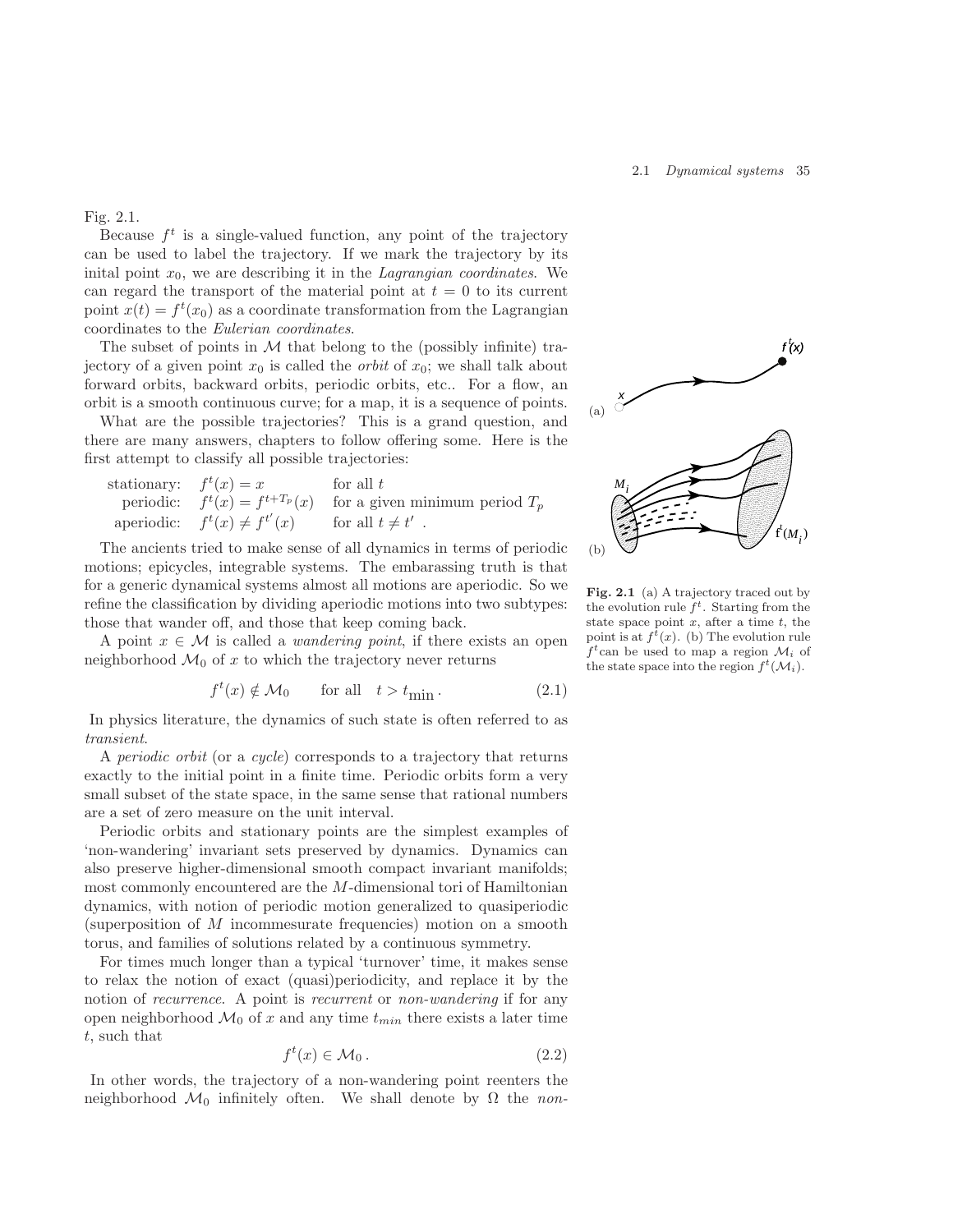Fig. 2.1.

Because  $f^t$  is a single-valued function, any point of the trajectory can be used to label the trajectory. If we mark the trajectory by its initial point  $x_0$ , we are describing it in the *Lagrangian coordinates*. We can regard the transport of the material point at  $t = 0$  to its current point  $x(t) = f<sup>t</sup>(x<sub>0</sub>)$  as a coordinate transformation from the Lagrangian coordinates to the *Eulerian coordinates*.

The subset of points in  $M$  that belong to the (possibly infinite) trajectory of a given point  $x_0$  is called the *orbit* of  $x_0$ ; we shall talk about forward orbits, backward orbits, periodic orbits, etc.. For a flow, an orbit is a smooth continuous curve; for a map, it is a sequence of points.

What are the possible trajectories? This is a grand question, and there are many answers, chapters to follow offering some. Here is the first attempt to classify all possible trajectories:

stationary:  $(x) = x$  for all t periodic:  $(x) = f^{t+T_p}(x)$  for a given minimum period  $T_p$ aperiodic:  $f^{t'}(x)$  for all  $t \neq t'$ .

The ancients tried to make sense of all dynamics in terms of periodic motions; epicycles, integrable systems. The embarassing truth is that for a generic dynamical systems almost all motions are aperiodic. So we refine the classification by dividing aperiodic motions into two subtypes: those that wander off, and those that keep coming back.

A point  $x \in \mathcal{M}$  is called a *wandering point*, if there exists an open neighborhood  $\mathcal{M}_0$  of x to which the trajectory never returns

$$
f^t(x) \notin \mathcal{M}_0 \qquad \text{for all} \quad t > t_{\text{min}}. \tag{2.1}
$$

In physics literature, the dynamics of such state is often referred to as *transient*.

A *periodic orbit* (or a *cycle*) corresponds to a trajectory that returns exactly to the initial point in a finite time. Periodic orbits form a very small subset of the state space, in the same sense that rational numbers are a set of zero measure on the unit interval.

Periodic orbits and stationary points are the simplest examples of 'non-wandering' invariant sets preserved by dynamics. Dynamics can also preserve higher-dimensional smooth compact invariant manifolds; most commonly encountered are the M-dimensional tori of Hamiltonian dynamics, with notion of periodic motion generalized to quasiperiodic (superposition of M incommesurate frequencies) motion on a smooth torus, and families of solutions related by a continuous symmetry.

For times much longer than a typical 'turnover' time, it makes sense to relax the notion of exact (quasi)periodicity, and replace it by the notion of *recurrence*. A point is *recurrent* or *non-wandering* if for any open neighborhood  $\mathcal{M}_0$  of x and any time  $t_{min}$  there exists a later time t, such that

$$
f^t(x) \in \mathcal{M}_0. \tag{2.2}
$$

In other words, the trajectory of a non-wandering point reenters the neighborhood  $\mathcal{M}_0$  infinitely often. We shall denote by  $\Omega$  the *non*-



Fig. 2.1 (a) A trajectory traced out by the evolution rule  $f^t$ . Starting from the state space point  $x$ , after a time  $t$ , the point is at  $f^t(x)$ . (b) The evolution rule  $f<sup>t</sup>$ can be used to map a region  $\mathcal{M}_i$  of the state space into the region  $f^t(\mathcal{M}_i)$ .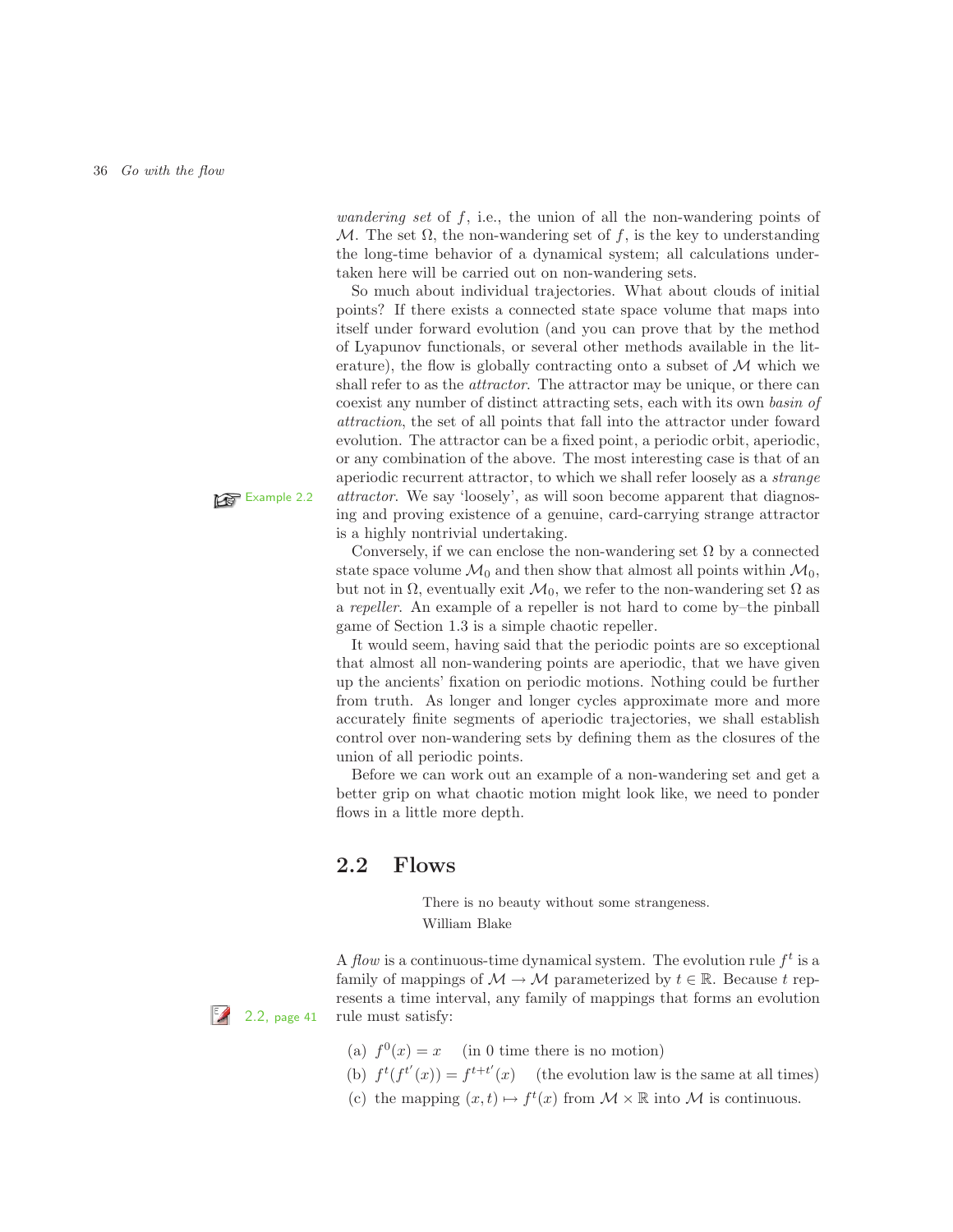*wandering set* of f, i.e., the union of all the non-wandering points of M. The set  $\Omega$ , the non-wandering set of f, is the key to understanding the long-time behavior of a dynamical system; all calculations undertaken here will be carried out on non-wandering sets.

So much about individual trajectories. What about clouds of initial points? If there exists a connected state space volume that maps into itself under forward evolution (and you can prove that by the method of Lyapunov functionals, or several other methods available in the literature), the flow is globally contracting onto a subset of  $M$  which we shall refer to as the *attractor*. The attractor may be unique, or there can coexist any number of distinct attracting sets, each with its own *basin of attraction*, the set of all points that fall into the attractor under foward evolution. The attractor can be a fixed point, a periodic orbit, aperiodic, or any combination of the above. The most interesting case is that of an aperiodic recurrent attractor, to which we shall refer loosely as a *strange* **Example 2.2** *attractor*. We say 'loosely', as will soon become apparent that diagnosing and proving existence of a genuine, card-carrying strange attractor is a highly nontrivial undertaking.

> Conversely, if we can enclose the non-wandering set  $\Omega$  by a connected state space volume  $\mathcal{M}_0$  and then show that almost all points within  $\mathcal{M}_0$ , but not in  $\Omega$ , eventually exit  $\mathcal{M}_0$ , we refer to the non-wandering set  $\Omega$  as a *repeller*. An example of a repeller is not hard to come by–the pinball game of Section 1.3 is a simple chaotic repeller.

> It would seem, having said that the periodic points are so exceptional that almost all non-wandering points are aperiodic, that we have given up the ancients' fixation on periodic motions. Nothing could be further from truth. As longer and longer cycles approximate more and more accurately finite segments of aperiodic trajectories, we shall establish control over non-wandering sets by defining them as the closures of the union of all periodic points.

> Before we can work out an example of a non-wandering set and get a better grip on what chaotic motion might look like, we need to ponder flows in a little more depth.

### **2.2 Flows**

There is no beauty without some strangeness. William Blake

A *flow* is a continuous-time dynamical system. The evolution rule  $f^t$  is a family of mappings of  $\mathcal{M} \to \mathcal{M}$  parameterized by  $t \in \mathbb{R}$ . Because t represents a time interval, any family of mappings that forms an evolution  $\left[2.2, \frac{\text{page 41}}{2} \right]$  rule must satisfy:

- (a)  $f^{0}(x) = x$  (in 0 time there is no motion)
- (b)  $f^t(f^{t'}(x)) = f^{t+t'}(x)$  (the evolution law is the same at all times)
- (c) the mapping  $(x,t) \mapsto f^t(x)$  from  $\mathcal{M} \times \mathbb{R}$  into  $\mathcal M$  is continuous.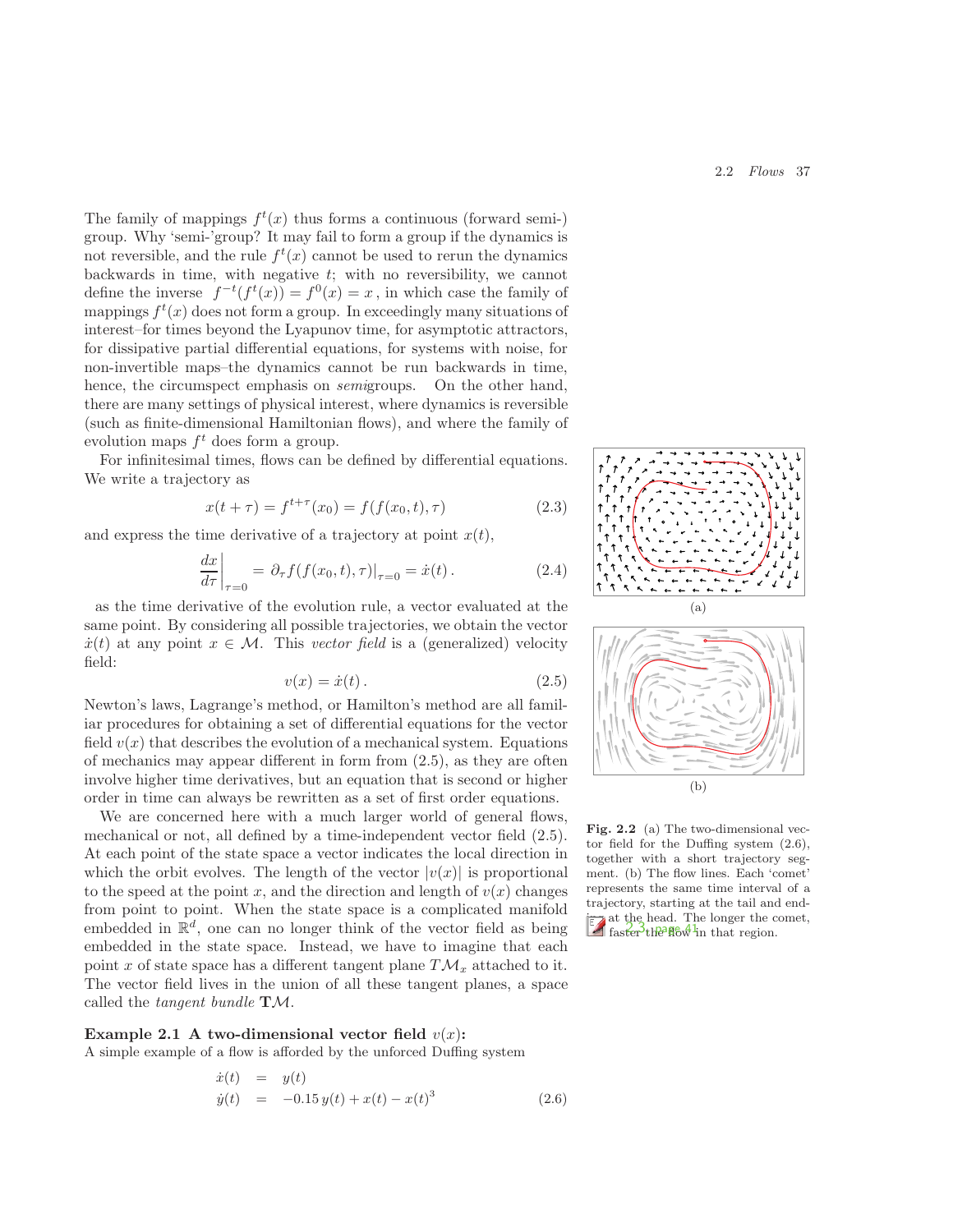The family of mappings  $f^t(x)$  thus forms a continuous (forward semi-) group. Why 'semi-'group? It may fail to form a group if the dynamics is not reversible, and the rule  $f^t(x)$  cannot be used to rerun the dynamics backwards in time, with negative t; with no reversibility, we cannot define the inverse  $f^{-t}(f^t(x)) = f^{0}(x) = x$ , in which case the family of mappings  $f^t(x)$  does not form a group. In exceedingly many situations of interest–for times beyond the Lyapunov time, for asymptotic attractors, for dissipative partial differential equations, for systems with noise, for non-invertible maps–the dynamics cannot be run backwards in time, hence, the circumspect emphasis on *semigroups*. On the other hand, there are many settings of physical interest, where dynamics is reversible (such as finite-dimensional Hamiltonian flows), and where the family of evolution maps  $f<sup>t</sup>$  does form a group.

For infinitesimal times, flows can be defined by differential equations. We write a trajectory as

$$
x(t+\tau) = f^{t+\tau}(x_0) = f(f(x_0, t), \tau)
$$
\n(2.3)

and express the time derivative of a trajectory at point  $x(t)$ ,

$$
\left. \frac{dx}{d\tau} \right|_{\tau=0} = \left. \partial_{\tau} f(f(x_0, t), \tau) \right|_{\tau=0} = \dot{x}(t) \,. \tag{2.4}
$$

as the time derivative of the evolution rule, a vector evaluated at the same point. By considering all possible trajectories, we obtain the vector  $\dot{x}(t)$  at any point  $x \in \mathcal{M}$ . This *vector field* is a (generalized) velocity field:

$$
v(x) = \dot{x}(t). \tag{2.5}
$$

Newton's laws, Lagrange's method, or Hamilton's method are all familiar procedures for obtaining a set of differential equations for the vector field  $v(x)$  that describes the evolution of a mechanical system. Equations of mechanics may appear different in form from (2.5), as they are often involve higher time derivatives, but an equation that is second or higher order in time can always be rewritten as a set of first order equations.

We are concerned here with a much larger world of general flows, mechanical or not, all defined by a time-independent vector field (2.5). At each point of the state space a vector indicates the local direction in which the orbit evolves. The length of the vector  $|v(x)|$  is proportional to the speed at the point x, and the direction and length of  $v(x)$  changes from point to point. When the state space is a complicated manifold embedded in  $\mathbb{R}^d$ , one can no longer think of the vector field as being embedded in the state space. Instead, we have to imagine that each point x of state space has a different tangent plane  $T\mathcal{M}_x$  attached to it. The vector field lives in the union of all these tangent planes, a space called the *tangent bundle* **T**M.

#### **Example 2.1 A two-dimensional vector field**  $v(x)$ :

A simple example of a flow is afforded by the unforced Duffing system

$$
\dot{x}(t) = y(t) \n\dot{y}(t) = -0.15 y(t) + x(t) - x(t)^3
$$
\n(2.6)



Fig. 2.2 (a) The two-dimensional vector field for the Duffing system (2.6), together with a short trajectory segment. (b) The flow lines. Each 'comet' represents the same time interval of a trajectory, starting at the tail and endat the head. The longer the comet,  $\frac{1}{2}$  faster<sup>3</sup>the flow<sup>1</sup>in that region.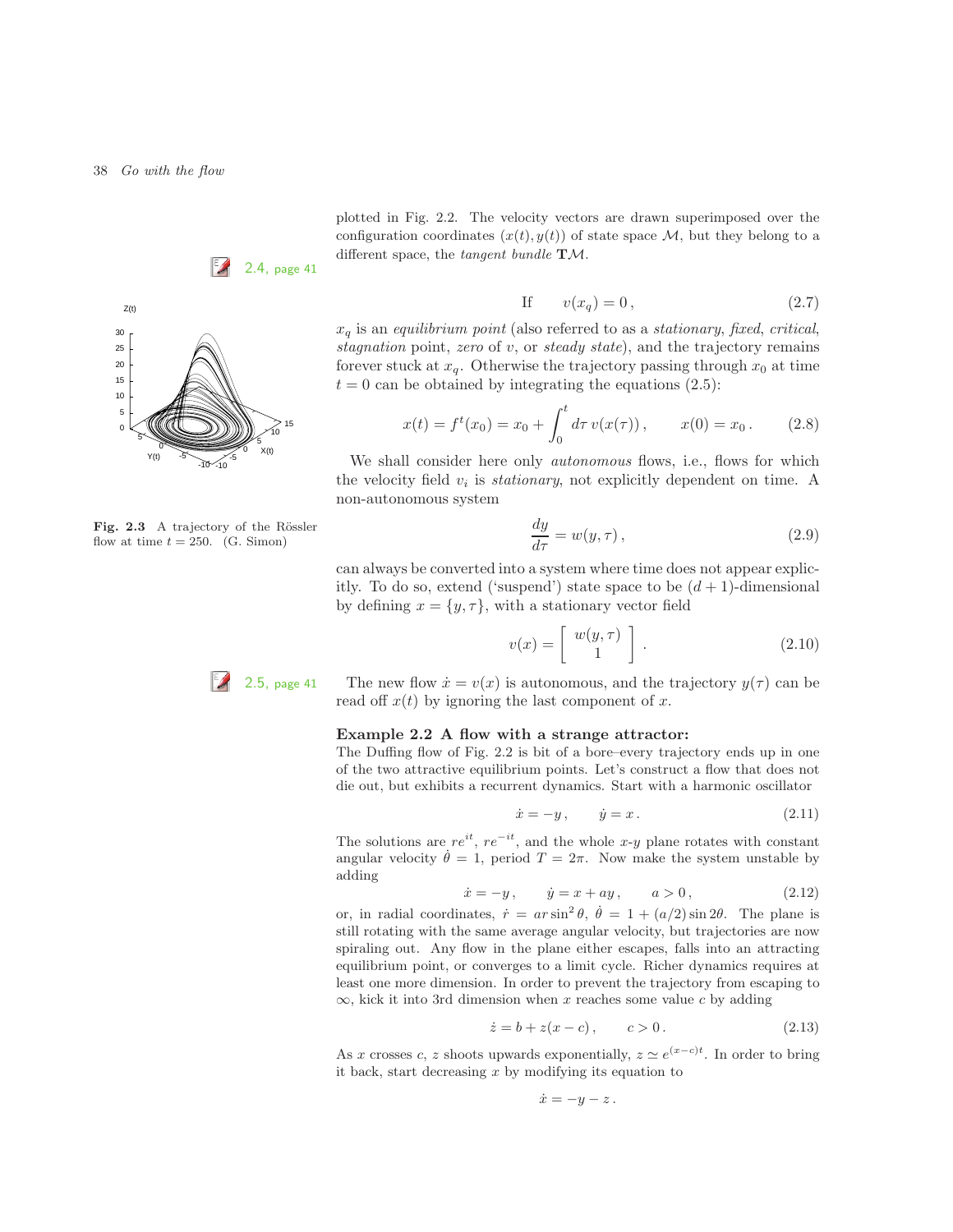

2.4, page 41

Fig. 2.3 A trajectory of the Rössler flow at time  $t = 250$ . (G. Simon)



plotted in Fig. 2.2. The velocity vectors are drawn superimposed over the configuration coordinates  $(x(t), y(t))$  of state space M, but they belong to a different space, the *tangent bundle* **T**M.

$$
\text{If} \qquad v(x_q) = 0 \,, \tag{2.7}
$$

 $x_q$  is an *equilibrium point* (also referred to as a *stationary*, *fixed*, *critical*, *stagnation* point, *zero* of v, or *steady state*), and the trajectory remains forever stuck at  $x_q$ . Otherwise the trajectory passing through  $x_0$  at time  $t = 0$  can be obtained by integrating the equations (2.5):

$$
x(t) = ft(x0) = x0 + \int_0^t d\tau \, v(x(\tau)), \qquad x(0) = x_0. \qquad (2.8)
$$

We shall consider here only *autonomous* flows, i.e., flows for which the velocity field  $v_i$  is *stationary*, not explicitly dependent on time. A non-autonomous system

$$
\frac{dy}{d\tau} = w(y, \tau) , \qquad (2.9)
$$

can always be converted into a system where time does not appear explicitly. To do so, extend ('suspend') state space to be  $(d+1)$ -dimensional by defining  $x = \{y, \tau\}$ , with a stationary vector field

$$
v(x) = \left[ \begin{array}{c} w(y, \tau) \\ 1 \end{array} \right]. \tag{2.10}
$$

2.5, page 41 The new flow  $\dot{x} = v(x)$  is autonomous, and the trajectory  $y(\tau)$  can be read off  $x(t)$  by ignoring the last component of x.

#### **Example 2.2 A flow with a strange attractor:**

The Duffing flow of Fig. 2.2 is bit of a bore–every trajectory ends up in one of the two attractive equilibrium points. Let's construct a flow that does not die out, but exhibits a recurrent dynamics. Start with a harmonic oscillator

$$
\dot{x} = -y, \qquad \dot{y} = x. \tag{2.11}
$$

The solutions are  $re^{it}$ ,  $re^{-it}$ , and the whole x-y plane rotates with constant angular velocity  $\dot{\theta} = 1$ , period  $T = 2\pi$ . Now make the system unstable by adding

$$
\dot{x} = -y, \qquad \dot{y} = x + ay, \qquad a > 0,
$$
\n(2.12)

or, in radial coordinates,  $\dot{r} = ar \sin^2 \theta$ ,  $\dot{\theta} = 1 + (a/2) \sin 2\theta$ . The plane is still rotating with the same average angular velocity, but trajectories are now spiraling out. Any flow in the plane either escapes, falls into an attracting equilibrium point, or converges to a limit cycle. Richer dynamics requires at least one more dimension. In order to prevent the trajectory from escaping to  $\infty$ , kick it into 3rd dimension when x reaches some value c by adding

$$
\dot{z} = b + z(x - c), \qquad c > 0. \tag{2.13}
$$

As x crosses c, z shoots upwards exponentially,  $z \simeq e^{(x-c)t}$ . In order to bring it back, start decreasing  $x$  by modifying its equation to

$$
\dot{x} = -y - z.
$$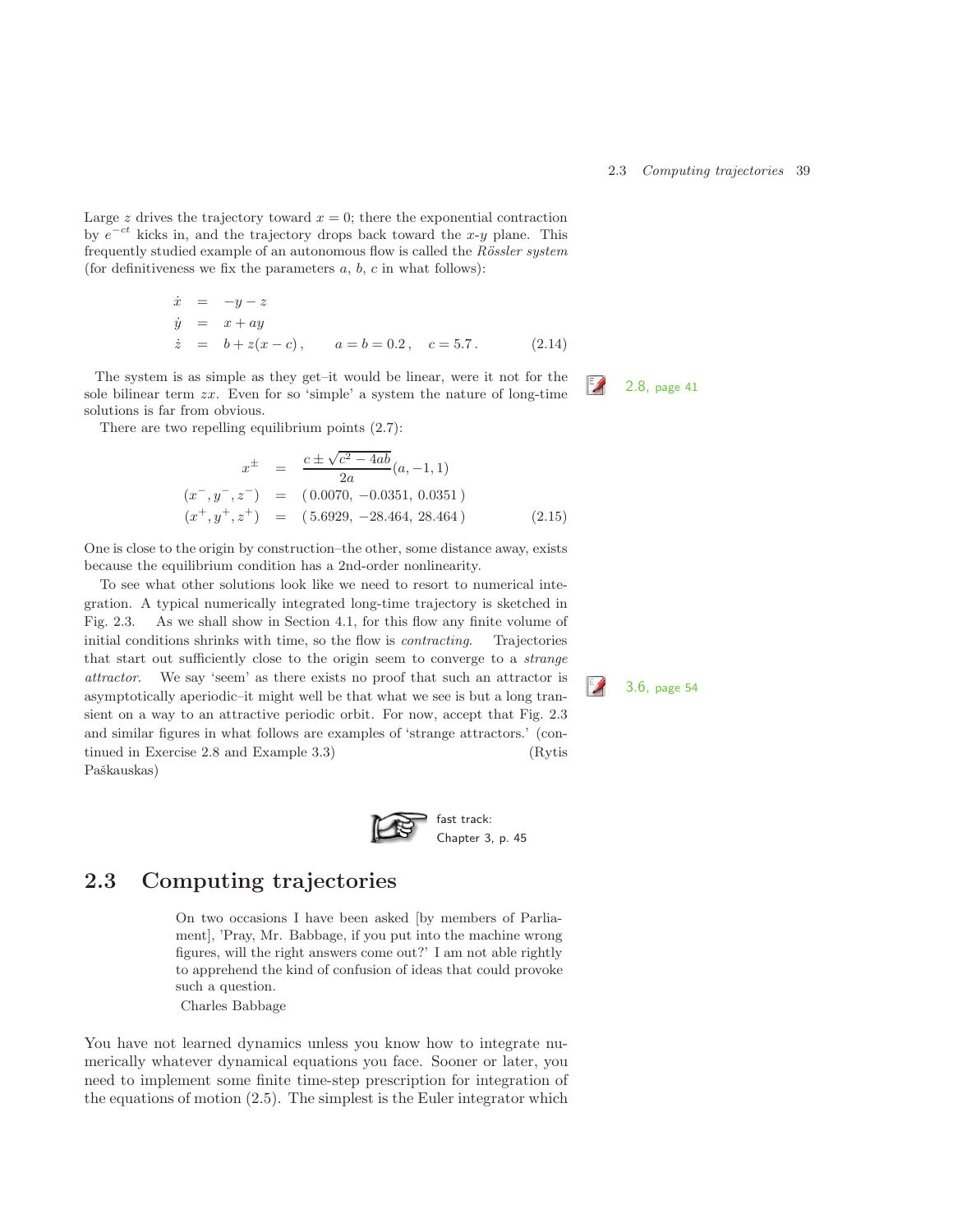Large z drives the trajectory toward  $x = 0$ ; there the exponential contraction by  $e^{-ct}$  kicks in, and the trajectory drops back toward the x-y plane. This frequently studied example of an autonomous flow is called the *Rössler system* (for definitiveness we fix the parameters  $a, b, c$  in what follows):

$$
\dot{x} = -y - z \n\dot{y} = x + ay \n\dot{z} = b + z(x - c), \qquad a = b = 0.2, \quad c = 5.7.
$$
\n(2.14)

The system is as simple as they get–it would be linear, were it not for the sole bilinear term zx. Even for so 'simple' a system the nature of long-time  $\Box$  2.8, page 41 solutions is far from obvious.

There are two repelling equilibrium points (2.7):

$$
x^{\pm} = \frac{c \pm \sqrt{c^2 - 4ab}}{2a}(a, -1, 1)
$$
  
\n
$$
(x^-, y^-, z^-) = (0.0070, -0.0351, 0.0351)
$$
  
\n
$$
(x^+, y^+, z^+) = (5.6929, -28.464, 28.464)
$$
 (2.15)

One is close to the origin by construction–the other, some distance away, exists because the equilibrium condition has a 2nd-order nonlinearity.

To see what other solutions look like we need to resort to numerical integration. A typical numerically integrated long-time trajectory is sketched in Fig. 2.3. As we shall show in Section 4.1, for this flow any finite volume of initial conditions shrinks with time, so the flow is *contracting*. Trajectories that start out sufficiently close to the origin seem to converge to a *strange* attractor. We say 'seem' as there exists no proof that such an attractor is asymptotically aperiodic–it might well be that what we see is but a long tran- $\blacksquare$  3.6, page 54 sient on a way to an attractive periodic orbit. For now, accept that Fig. 2.3 and similar figures in what follows are examples of 'strange attractors.' (continued in Exercise 2.8 and Example 3.3) (Rytis Paškauskas)



## **2.3 Computing trajectories**

On two occasions I have been asked [by members of Parliament], 'Pray, Mr. Babbage, if you put into the machine wrong figures, will the right answers come out?' I am not able rightly to apprehend the kind of confusion of ideas that could provoke such a question.

Charles Babbage

You have not learned dynamics unless you know how to integrate numerically whatever dynamical equations you face. Sooner or later, you need to implement some finite time-step prescription for integration of the equations of motion (2.5). The simplest is the Euler integrator which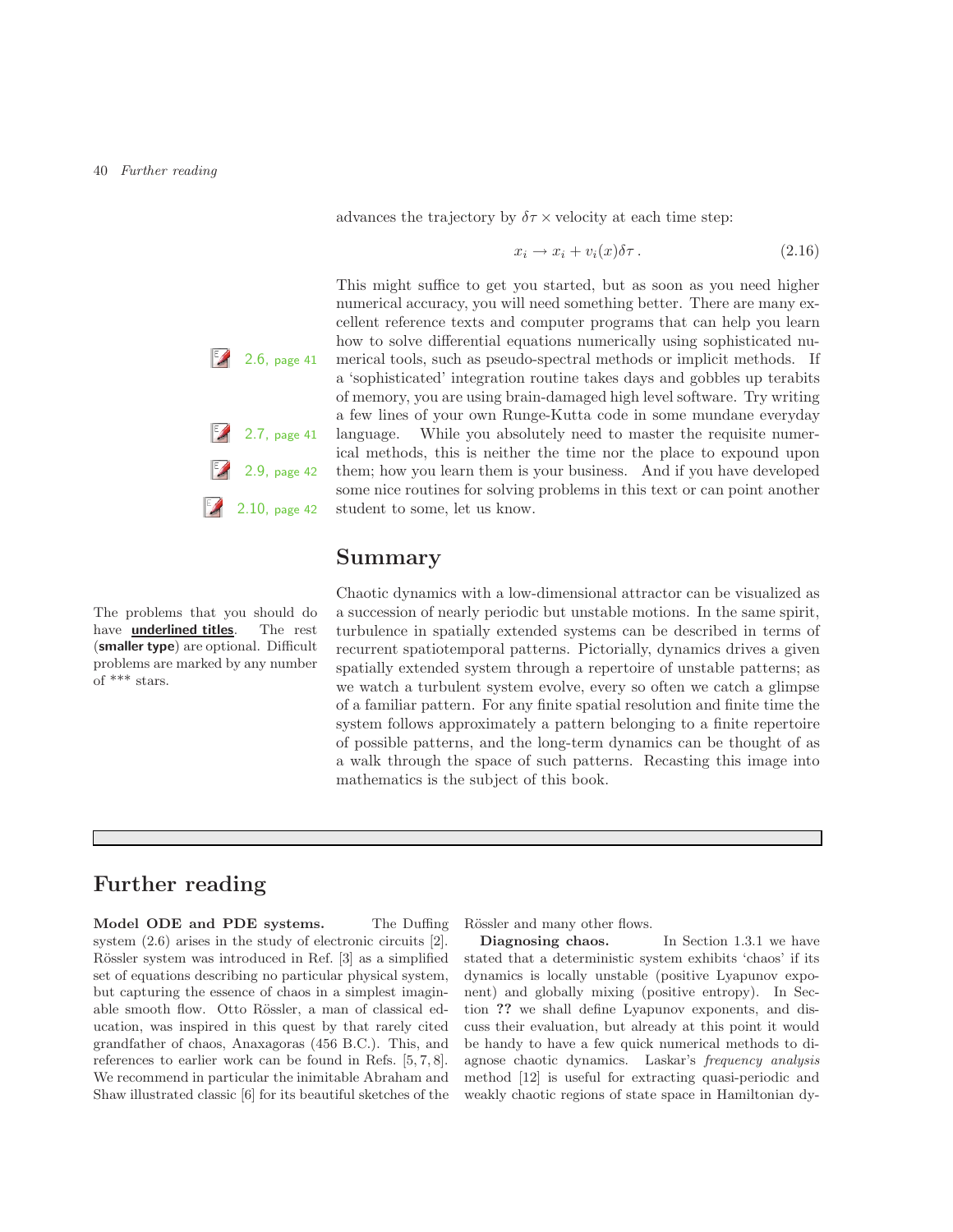advances the trajectory by  $\delta \tau \times$  velocity at each time step:

$$
x_i \to x_i + v_i(x)\delta\tau. \tag{2.16}
$$



have **underlined titles**. The rest (**smaller type**) are optional. Difficult problems are marked by any number of \*\*\* stars.

This might suffice to get you started, but as soon as you need higher numerical accuracy, you will need something better. There are many excellent reference texts and computer programs that can help you learn how to solve differential equations numerically using sophisticated nu- $\frac{2.6}{7}$  2.6, page 41 merical tools, such as pseudo-spectral methods or implicit methods. If a 'sophisticated' integration routine takes days and gobbles up terabits of memory, you are using brain-damaged high level software. Try writing a few lines of your own Runge-Kutta code in some mundane everyday 2.7, page 41 language. While you absolutely need to master the requisite numerical methods, this is neither the time nor the place to expound upon 2.9, page 42 them; how you learn them is your business. And if you have developed some nice routines for solving problems in this text or can point another 2.10, page 42 student to some, let us know.

#### **Summary**

Chaotic dynamics with a low-dimensional attractor can be visualized as The problems that you should do a succession of nearly periodic but unstable motions. In the same spirit, turbulence in spatially extended systems can be described in terms of recurrent spatiotemporal patterns. Pictorially, dynamics drives a given spatially extended system through a repertoire of unstable patterns; as we watch a turbulent system evolve, every so often we catch a glimpse of a familiar pattern. For any finite spatial resolution and finite time the system follows approximately a pattern belonging to a finite repertoire of possible patterns, and the long-term dynamics can be thought of as a walk through the space of such patterns. Recasting this image into mathematics is the subject of this book.

# **Further reading**

**Model ODE and PDE systems.** The Duffing system (2.6) arises in the study of electronic circuits [2]. Rössler system was introduced in Ref. [3] as a simplified set of equations describing no particular physical system, but capturing the essence of chaos in a simplest imaginable smooth flow. Otto Rössler, a man of classical education, was inspired in this quest by that rarely cited grandfather of chaos, Anaxagoras (456 B.C.). This, and references to earlier work can be found in Refs. [5, 7, 8]. We recommend in particular the inimitable Abraham and Shaw illustrated classic [6] for its beautiful sketches of the

Rössler and many other flows.

**Diagnosing chaos.** In Section 1.3.1 we have stated that a deterministic system exhibits 'chaos' if its dynamics is locally unstable (positive Lyapunov exponent) and globally mixing (positive entropy). In Section **??** we shall define Lyapunov exponents, and discuss their evaluation, but already at this point it would be handy to have a few quick numerical methods to diagnose chaotic dynamics. Laskar's *frequency analysis* method [12] is useful for extracting quasi-periodic and weakly chaotic regions of state space in Hamiltonian dy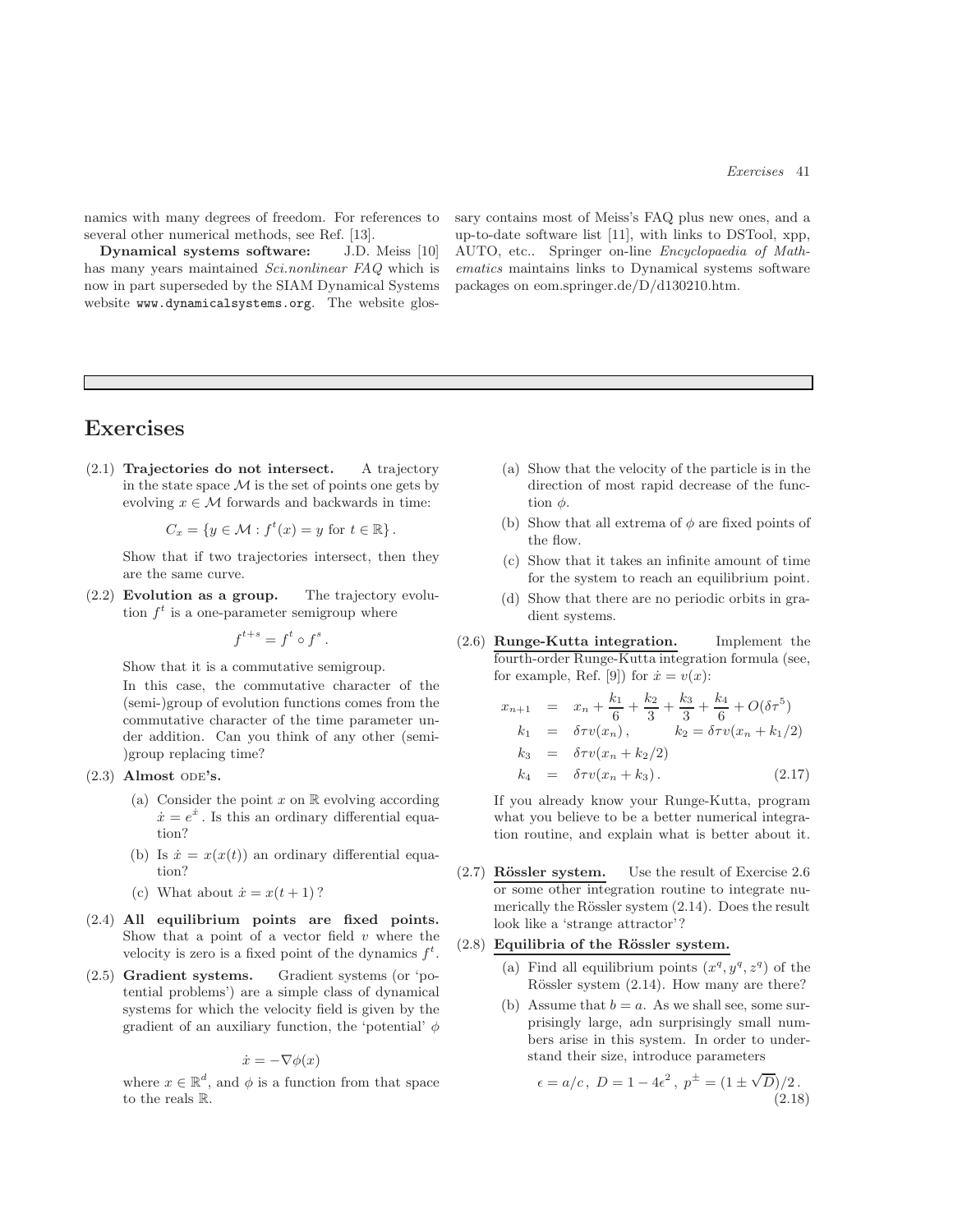namics with many degrees of freedom. For references to several other numerical methods, see Ref. [13].

**Dynamical systems software:** J.D. Meiss [10] has many years maintained *Sci.nonlinear FAQ* which is now in part superseded by the SIAM Dynamical Systems website www.dynamicalsystems.org. The website glossary contains most of Meiss's FAQ plus new ones, and a up-to-date software list [11], with links to DSTool, xpp, AUTO, etc.. Springer on-line *Encyclopaedia of Mathematics* maintains links to Dynamical systems software packages on eom.springer.de/D/d130210.htm.

## **Exercises**

(2.1) **Trajectories do not intersect.** A trajectory in the state space  $\mathcal M$  is the set of points one gets by evolving  $x \in \mathcal{M}$  forwards and backwards in time:

$$
C_x = \{ y \in \mathcal{M} : f^t(x) = y \text{ for } t \in \mathbb{R} \}.
$$

Show that if two trajectories intersect, then they are the same curve.

(2.2) **Evolution as a group.** The trajectory evolution  $f^t$  is a one-parameter semigroup where

 $f^{t+s} = f^t \circ f^s$ .

Show that it is a commutative semigroup.

In this case, the commutative character of the (semi-)group of evolution functions comes from the commutative character of the time parameter under addition. Can you think of any other (semi- )group replacing time?

- (2.3) **Almost** ode**'s.**
	- (a) Consider the point  $x$  on  $\mathbb R$  evolving according  $\dot{x} = e^{\dot{x}}$ . Is this an ordinary differential equation?
	- (b) Is  $\dot{x} = x(x(t))$  an ordinary differential equation?
	- (c) What about  $\dot{x} = x(t+1)$ ?
- (2.4) **All equilibrium points are fixed points.** Show that a point of a vector field  $v$  where the velocity is zero is a fixed point of the dynamics  $f^t$ .
- (2.5) **Gradient systems.** Gradient systems (or 'potential problems') are a simple class of dynamical systems for which the velocity field is given by the gradient of an auxiliary function, the 'potential'  $\phi$

$$
\dot{x} = -\nabla \phi(x)
$$

where  $x \in \mathbb{R}^d$ , and  $\phi$  is a function from that space to the reals R.

- (a) Show that the velocity of the particle is in the direction of most rapid decrease of the function  $\phi$ .
- (b) Show that all extrema of  $\phi$  are fixed points of the flow.
- (c) Show that it takes an infinite amount of time for the system to reach an equilibrium point.
- (d) Show that there are no periodic orbits in gradient systems.
- (2.6) **Runge-Kutta integration.** Implement the fourth-order Runge-Kutta integration formula (see, for example, Ref. [9]) for  $\dot{x} = v(x)$ :

$$
x_{n+1} = x_n + \frac{k_1}{6} + \frac{k_2}{3} + \frac{k_3}{3} + \frac{k_4}{6} + O(\delta \tau^5)
$$
  
\n
$$
k_1 = \delta \tau v(x_n), \qquad k_2 = \delta \tau v(x_n + k_1/2)
$$
  
\n
$$
k_3 = \delta \tau v(x_n + k_2/2)
$$
  
\n
$$
k_4 = \delta \tau v(x_n + k_3).
$$
 (2.17)

If you already know your Runge-Kutta, program what you believe to be a better numerical integration routine, and explain what is better about it.

(2.7) **Rössler system.** Use the result of Exercise 2.6 or some other integration routine to integrate numerically the Rössler system  $(2.14)$ . Does the result look like a 'strange attractor'?

#### (2.8) **Equilibria of the Rössler system.**

- (a) Find all equilibrium points  $(x^q, y^q, z^q)$  of the Rössler system  $(2.14)$ . How many are there?
- (b) Assume that  $b = a$ . As we shall see, some surprisingly large, adn surprisingly small numbers arise in this system. In order to understand their size, introduce parameters

$$
\epsilon = a/c
$$
,  $D = 1 - 4\epsilon^2$ ,  $p^{\pm} = (1 \pm \sqrt{D})/2$ . (2.18)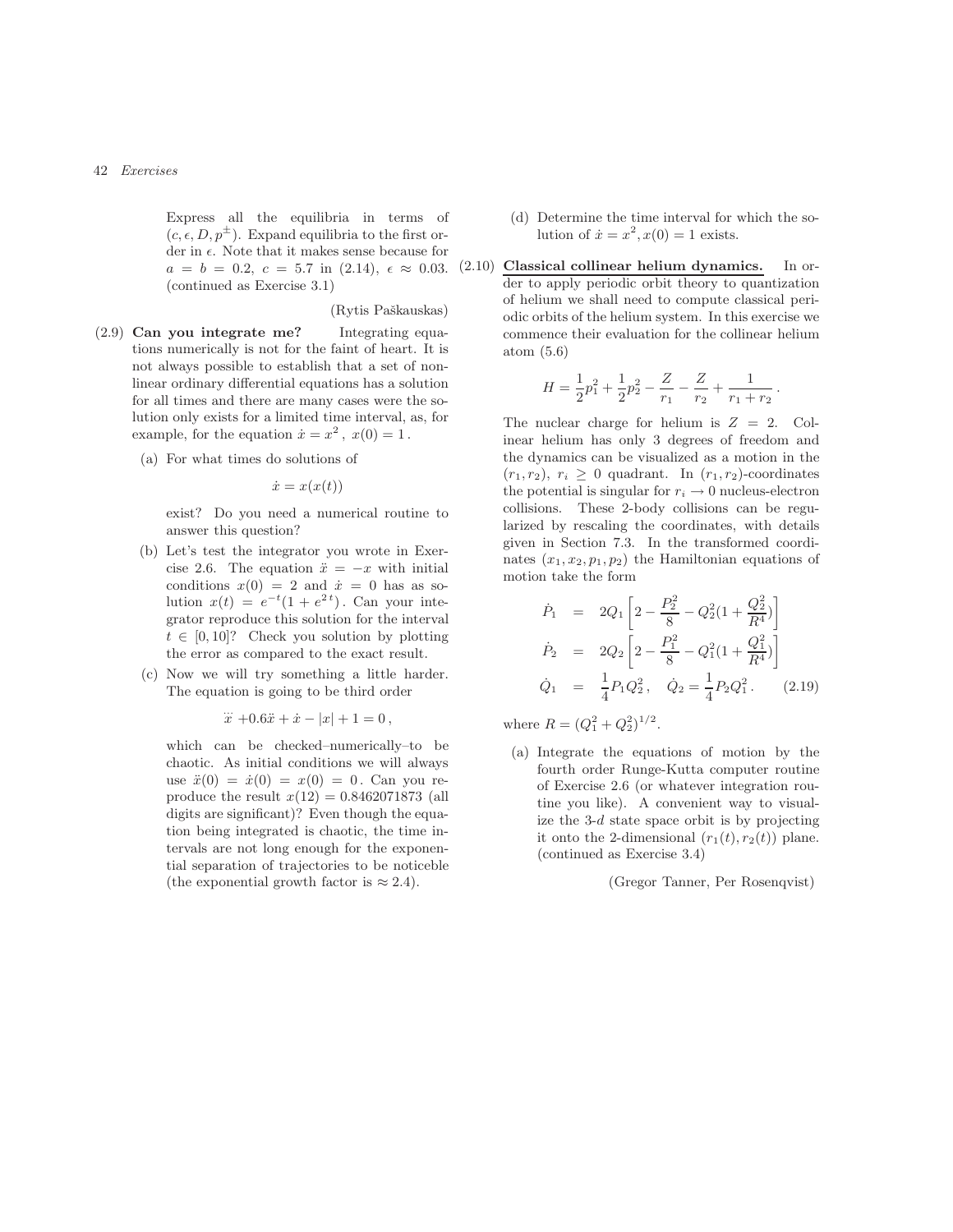#### 42 *Exercises*

Express all the equilibria in terms of  $(c, \epsilon, D, p^{\pm})$ . Expand equilibria to the first order in  $\epsilon$ . Note that it makes sense because for  $a = b = 0.2, c = 5.7$  in (2.14),  $\epsilon \approx 0.03$ . (continued as Exercise 3.1)

(Rytis Paškauskas)

- (2.9) **Can you integrate me?** Integrating equations numerically is not for the faint of heart. It is not always possible to establish that a set of nonlinear ordinary differential equations has a solution for all times and there are many cases were the solution only exists for a limited time interval, as, for example, for the equation  $\dot{x} = x^2$ ,  $x(0) = 1$ .
	- (a) For what times do solutions of

 $\dot{x} = x(x(t))$ 

exist? Do you need a numerical routine to answer this question?

- (b) Let's test the integrator you wrote in Exercise 2.6. The equation  $\ddot{x} = -x$  with initial conditions  $x(0) = 2$  and  $\dot{x} = 0$  has as solution  $x(t) = e^{-t}(1 + e^{2t})$ . Can your integrator reproduce this solution for the interval  $t \in [0, 10]$ ? Check you solution by plotting the error as compared to the exact result.
- (c) Now we will try something a little harder. The equation is going to be third order

$$
\dddot{x} + 0.6\ddot{x} + \dot{x} - |x| + 1 = 0,
$$

which can be checked–numerically–to be chaotic. As initial conditions we will always use  $\ddot{x}(0) = \dot{x}(0) = x(0) = 0$ . Can you reproduce the result  $x(12) = 0.8462071873$  (all digits are significant)? Even though the equation being integrated is chaotic, the time intervals are not long enough for the exponential separation of trajectories to be noticeble (the exponential growth factor is  $\approx 2.4$ ).

- (d) Determine the time interval for which the solution of  $\dot{x} = x^2, x(0) = 1$  exists.
- (2.10) **Classical collinear helium dynamics.** In order to apply periodic orbit theory to quantization of helium we shall need to compute classical periodic orbits of the helium system. In this exercise we commence their evaluation for the collinear helium atom (5.6)

$$
H = \frac{1}{2}p_1^2 + \frac{1}{2}p_2^2 - \frac{Z}{r_1} - \frac{Z}{r_2} + \frac{1}{r_1 + r_2}.
$$

The nuclear charge for helium is  $Z = 2$ . Colinear helium has only 3 degrees of freedom and the dynamics can be visualized as a motion in the  $(r_1, r_2), r_i \geq 0$  quadrant. In  $(r_1, r_2)$ -coordinates the potential is singular for  $r_i \rightarrow 0$  nucleus-electron collisions. These 2-body collisions can be regularized by rescaling the coordinates, with details given in Section 7.3. In the transformed coordinates  $(x_1, x_2, p_1, p_2)$  the Hamiltonian equations of motion take the form

$$
\dot{P}_1 = 2Q_1 \left[ 2 - \frac{P_2^2}{8} - Q_2^2 (1 + \frac{Q_2^2}{R^4}) \right] \n\dot{P}_2 = 2Q_2 \left[ 2 - \frac{P_1^2}{8} - Q_1^2 (1 + \frac{Q_1^2}{R^4}) \right] \n\dot{Q}_1 = \frac{1}{4} P_1 Q_2^2, \quad \dot{Q}_2 = \frac{1}{4} P_2 Q_1^2.
$$
\n(2.19)

where  $R = (Q_1^2 + Q_2^2)^{1/2}$ .

(a) Integrate the equations of motion by the fourth order Runge-Kutta computer routine of Exercise 2.6 (or whatever integration routine you like). A convenient way to visualize the 3-d state space orbit is by projecting it onto the 2-dimensional  $(r_1(t), r_2(t))$  plane. (continued as Exercise 3.4)

(Gregor Tanner, Per Rosenqvist)